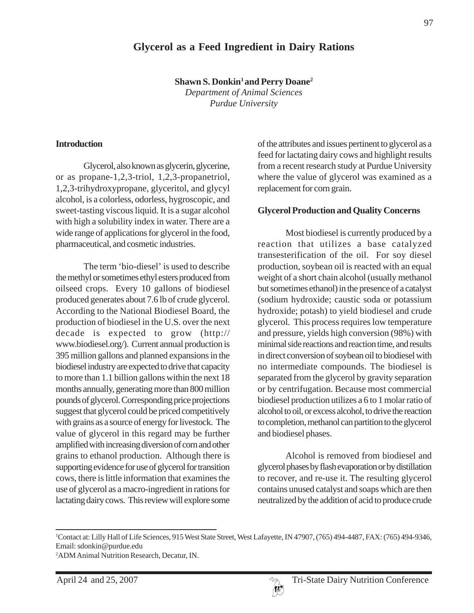## **Glycerol as a Feed Ingredient in Dairy Rations**

**Shawn S. Donkin<sup>1</sup> and Perry Doane<sup>2</sup>** *Department of Animal Sciences Purdue University*

#### **Introduction**

Glycerol, also known as glycerin, glycerine, or as propane-1,2,3-triol, 1,2,3-propanetriol, 1,2,3-trihydroxypropane, glyceritol, and glycyl alcohol, is a colorless, odorless, hygroscopic, and sweet-tasting viscous liquid. It is a sugar alcohol with high a solubility index in water. There are a wide range of applications for glycerol in the food, pharmaceutical, and cosmetic industries.

The term 'bio-diesel' is used to describe the methyl or sometimes ethyl esters produced from oilseed crops. Every 10 gallons of biodiesel produced generates about 7.6 lb of crude glycerol. According to the National Biodiesel Board, the production of biodiesel in the U.S. over the next decade is expected to grow (http:// www.biodiesel.org/). Current annual production is 395 million gallons and planned expansions in the biodiesel industry are expected to drive that capacity to more than 1.1 billion gallons within the next 18 months annually, generating more than 800 million pounds of glycerol. Corresponding price projections suggest that glycerol could be priced competitively with grains as a source of energy for livestock. The value of glycerol in this regard may be further amplified with increasing diversion of corn and other grains to ethanol production. Although there is supporting evidence for use of glycerol for transition cows, there is little information that examines the use of glycerol as a macro-ingredient in rations for lactating dairy cows. This review will explore some

of the attributes and issues pertinent to glycerol as a feed for lactating dairy cows and highlight results from a recent research study at Purdue University where the value of glycerol was examined as a replacement for corn grain.

#### **Glycerol Production and Quality Concerns**

Most biodiesel is currently produced by a reaction that utilizes a base catalyzed transesterification of the oil. For soy diesel production, soybean oil is reacted with an equal weight of a short chain alcohol (usually methanol but sometimes ethanol) in the presence of a catalyst (sodium hydroxide; caustic soda or potassium hydroxide; potash) to yield biodiesel and crude glycerol. This process requires low temperature and pressure, yields high conversion (98%) with minimal side reactions and reaction time, and results in direct conversion of soybean oil to biodiesel with no intermediate compounds. The biodiesel is separated from the glycerol by gravity separation or by centrifugation. Because most commercial biodiesel production utilizes a 6 to 1 molar ratio of alcohol to oil, or excess alcohol, to drive the reaction to completion, methanol can partition to the glycerol and biodiesel phases.

Alcohol is removed from biodiesel and glycerol phases by flash evaporation or by distillation to recover, and re-use it. The resulting glycerol contains unused catalyst and soaps which are then neutralized by the addition of acid to produce crude



<sup>1</sup> Contact at: Lilly Hall of Life Sciences, 915 West State Street, West Lafayette, IN 47907, (765) 494-4487, FAX: (765) 494-9346, Email: sdonkin@purdue.edu

<sup>2</sup> ADM Animal Nutrition Research, Decatur, IN.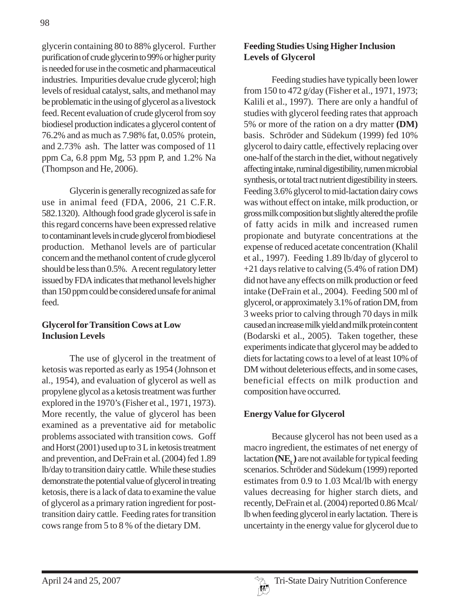glycerin containing 80 to 88% glycerol. Further purification of crude glycerin to 99% or higher purity is needed for use in the cosmetic and pharmaceutical industries. Impurities devalue crude glycerol; high levels of residual catalyst, salts, and methanol may be problematic in the using of glycerol as a livestock feed. Recent evaluation of crude glycerol from soy biodiesel production indicates a glycerol content of 76.2% and as much as 7.98% fat, 0.05% protein, and 2.73% ash. The latter was composed of 11 ppm Ca, 6.8 ppm Mg, 53 ppm P, and 1.2% Na (Thompson and He, 2006).

Glycerin is generally recognized as safe for use in animal feed (FDA, 2006, 21 C.F.R. 582.1320). Although food grade glycerol is safe in this regard concerns have been expressed relative to contaminant levels in crude glycerol from biodiesel production. Methanol levels are of particular concern and the methanol content of crude glycerol should be less than 0.5%. A recent regulatory letter issued by FDA indicates that methanol levels higher than 150 ppm could be considered unsafe for animal feed.

#### **Glycerol for Transition Cows at Low Inclusion Levels**

The use of glycerol in the treatment of ketosis was reported as early as 1954 (Johnson et al., 1954), and evaluation of glycerol as well as propylene glycol as a ketosis treatment was further explored in the 1970's (Fisher et al., 1971, 1973). More recently, the value of glycerol has been examined as a preventative aid for metabolic problems associated with transition cows. Goff and Horst (2001) used up to 3 L in ketosis treatment and prevention, and DeFrain et al. (2004) fed 1.89 lb/day to transition dairy cattle. While these studies demonstrate the potential value of glycerol in treating ketosis, there is a lack of data to examine the value of glycerol as a primary ration ingredient for posttransition dairy cattle. Feeding rates for transition cows range from 5 to 8 % of the dietary DM.

### **Feeding Studies Using Higher Inclusion Levels of Glycerol**

Feeding studies have typically been lower from 150 to 472 g/day (Fisher et al., 1971, 1973; Kalili et al., 1997). There are only a handful of studies with glycerol feeding rates that approach 5% or more of the ration on a dry matter **(DM)** basis. Schröder and Südekum (1999) fed 10% glycerol to dairy cattle, effectively replacing over one-half of the starch in the diet, without negatively affecting intake, ruminal digestibility, rumen microbial synthesis, or total tract nutrient digestibility in steers. Feeding 3.6% glycerol to mid-lactation dairy cows was without effect on intake, milk production, or gross milk composition but slightly altered the profile of fatty acids in milk and increased rumen propionate and butyrate concentrations at the expense of reduced acetate concentration (Khalil et al., 1997). Feeding 1.89 lb/day of glycerol to +21 days relative to calving (5.4% of ration DM) did not have any effects on milk production or feed intake (DeFrain et al., 2004). Feeding 500 ml of glycerol, or approximately 3.1% of ration DM, from 3 weeks prior to calving through 70 days in milk caused an increase milk yield and milk protein content (Bodarski et al., 2005). Taken together, these experiments indicate that glycerol may be added to diets for lactating cows to a level of at least 10% of DM without deleterious effects, and in some cases, beneficial effects on milk production and composition have occurred.

## **Energy Value for Glycerol**

Because glycerol has not been used as a macro ingredient, the estimates of net energy of lactation **(NE<sub>t</sub>)** are not available for typical feeding scenarios. Schröder and Südekum (1999) reported estimates from 0.9 to 1.03 Mcal/lb with energy values decreasing for higher starch diets, and recently, DeFrain et al. (2004) reported 0.86 Mcal/ lb when feeding glycerol in early lactation. There is uncertainty in the energy value for glycerol due to

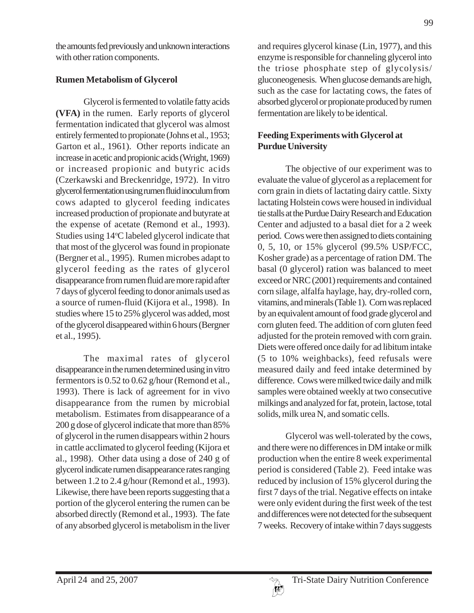the amounts fed previously and unknown interactions with other ration components.

### **Rumen Metabolism of Glycerol**

Glycerol is fermented to volatile fatty acids **(VFA)** in the rumen. Early reports of glycerol fermentation indicated that glycerol was almost entirely fermented to propionate (Johns et al., 1953; Garton et al., 1961). Other reports indicate an increase in acetic and propionic acids (Wright, 1969) or increased propionic and butyric acids (Czerkawski and Breckenridge, 1972). In vitro glycerol fermentation using rumen fluid inoculum from cows adapted to glycerol feeding indicates increased production of propionate and butyrate at the expense of acetate (Remond et al., 1993). Studies using 14°C labeled glycerol indicate that that most of the glycerol was found in propionate (Bergner et al., 1995). Rumen microbes adapt to glycerol feeding as the rates of glycerol disappearance from rumen fluid are more rapid after 7 days of glycerol feeding to donor animals used as a source of rumen-fluid (Kijora et al., 1998). In studies where 15 to 25% glycerol was added, most of the glycerol disappeared within 6 hours (Bergner et al., 1995).

The maximal rates of glycerol disappearance in the rumen determined using in vitro fermentors is 0.52 to 0.62 g/hour (Remond et al., 1993). There is lack of agreement for in vivo disappearance from the rumen by microbial metabolism. Estimates from disappearance of a 200 g dose of glycerol indicate that more than 85% of glycerol in the rumen disappears within 2 hours in cattle acclimated to glycerol feeding (Kijora et al., 1998). Other data using a dose of 240 g of glycerol indicate rumen disappearance rates ranging between 1.2 to 2.4 g/hour (Remond et al., 1993). Likewise, there have been reports suggesting that a portion of the glycerol entering the rumen can be absorbed directly (Remond et al., 1993). The fate of any absorbed glycerol is metabolism in the liver and requires glycerol kinase (Lin, 1977), and this enzyme is responsible for channeling glycerol into the triose phosphate step of glycolysis/ gluconeogenesis. When glucose demands are high, such as the case for lactating cows, the fates of absorbed glycerol or propionate produced by rumen fermentation are likely to be identical.

# **Feeding Experiments with Glycerol at Purdue University**

The objective of our experiment was to evaluate the value of glycerol as a replacement for corn grain in diets of lactating dairy cattle. Sixty lactating Holstein cows were housed in individual tie stalls at the Purdue Dairy Research and Education Center and adjusted to a basal diet for a 2 week period. Cows were then assigned to diets containing 0, 5, 10, or 15% glycerol (99.5% USP/FCC, Kosher grade) as a percentage of ration DM. The basal (0 glycerol) ration was balanced to meet exceed or NRC (2001) requirements and contained corn silage, alfalfa haylage, hay, dry-rolled corn, vitamins, and minerals (Table 1). Corn was replaced by an equivalent amount of food grade glycerol and corn gluten feed. The addition of corn gluten feed adjusted for the protein removed with corn grain. Diets were offered once daily for ad libitum intake (5 to 10% weighbacks), feed refusals were measured daily and feed intake determined by difference. Cows were milked twice daily and milk samples were obtained weekly at two consecutive milkings and analyzed for fat, protein, lactose, total solids, milk urea N, and somatic cells.

Glycerol was well-tolerated by the cows, and there were no differences in DM intake or milk production when the entire 8 week experimental period is considered (Table 2). Feed intake was reduced by inclusion of 15% glycerol during the first 7 days of the trial. Negative effects on intake were only evident during the first week of the test and differences were not detected for the subsequent 7 weeks. Recovery of intake within 7 days suggests

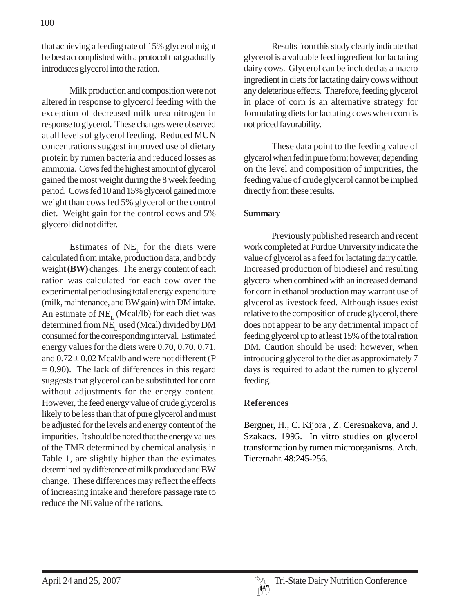that achieving a feeding rate of 15% glycerol might be best accomplished with a protocol that gradually introduces glycerol into the ration.

Milk production and composition were not altered in response to glycerol feeding with the exception of decreased milk urea nitrogen in response to glycerol. These changes were observed at all levels of glycerol feeding. Reduced MUN concentrations suggest improved use of dietary protein by rumen bacteria and reduced losses as ammonia. Cows fed the highest amount of glycerol gained the most weight during the 8 week feeding period. Cows fed 10 and 15% glycerol gained more weight than cows fed 5% glycerol or the control diet. Weight gain for the control cows and 5% glycerol did not differ.

Estimates of  $NE<sub>L</sub>$  for the diets were calculated from intake, production data, and body weight **(BW)** changes. The energy content of each ration was calculated for each cow over the experimental period using total energy expenditure (milk, maintenance, and BW gain) with DM intake. An estimate of  $NE<sub>L</sub>$  (Mcal/lb) for each diet was determined from NE<sub>r</sub> used (Mcal) divided by DM consumed for the corresponding interval. Estimated energy values for the diets were 0.70, 0.70, 0.71, and  $0.72 \pm 0.02$  Mcal/lb and were not different (P  $= 0.90$ ). The lack of differences in this regard suggests that glycerol can be substituted for corn without adjustments for the energy content. However, the feed energy value of crude glycerol is likely to be less than that of pure glycerol and must be adjusted for the levels and energy content of the impurities. It should be noted that the energy values of the TMR determined by chemical analysis in Table 1, are slightly higher than the estimates determined by difference of milk produced and BW change. These differences may reflect the effects of increasing intake and therefore passage rate to reduce the NE value of the rations.

Results from this study clearly indicate that glycerol is a valuable feed ingredient for lactating dairy cows. Glycerol can be included as a macro ingredient in diets for lactating dairy cows without any deleterious effects. Therefore, feeding glycerol in place of corn is an alternative strategy for formulating diets for lactating cows when corn is not priced favorability.

These data point to the feeding value of glycerol when fed in pure form; however, depending on the level and composition of impurities, the feeding value of crude glycerol cannot be implied directly from these results.

#### **Summary**

Previously published research and recent work completed at Purdue University indicate the value of glycerol as a feed for lactating dairy cattle. Increased production of biodiesel and resulting glycerol when combined with an increased demand for corn in ethanol production may warrant use of glycerol as livestock feed. Although issues exist relative to the composition of crude glycerol, there does not appear to be any detrimental impact of feeding glycerol up to at least 15% of the total ration DM. Caution should be used; however, when introducing glycerol to the diet as approximately 7 days is required to adapt the rumen to glycerol feeding.

#### **References**

Bergner, H., C. Kijora , Z. Ceresnakova, and J. Szakacs. 1995. In vitro studies on glycerol transformation by rumen microorganisms. Arch. Tierernahr. 48:245-256.

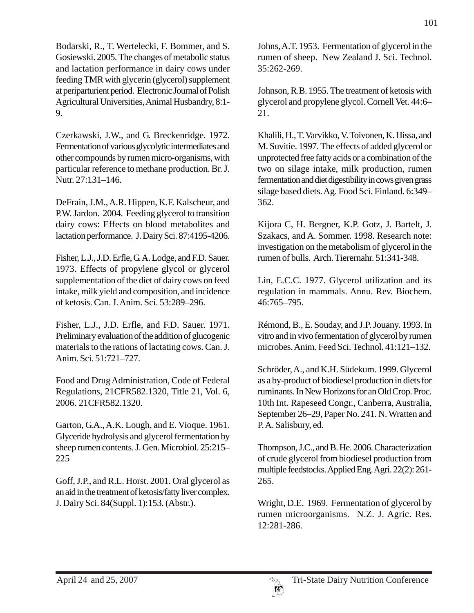Bodarski, R., T. Wertelecki, F. Bommer, and S. Gosiewski. 2005. The changes of metabolic status and lactation performance in dairy cows under feeding TMR with glycerin (glycerol) supplement at periparturient period. Electronic Journal of Polish Agricultural Universities, Animal Husbandry, 8:1- 9.

Czerkawski, J.W., and G. Breckenridge. 1972. Fermentation of various glycolytic intermediates and other compounds by rumen micro-organisms, with particular reference to methane production. Br. J. Nutr. 27:131–146.

DeFrain, J.M., A.R. Hippen, K.F. Kalscheur, and P.W. Jardon. 2004. Feeding glycerol to transition dairy cows: Effects on blood metabolites and lactation performance. J. Dairy Sci. 87:4195-4206.

Fisher, L.J., J.D. Erfle, G. A. Lodge, and F.D. Sauer. 1973. Effects of propylene glycol or glycerol supplementation of the diet of dairy cows on feed intake, milk yield and composition, and incidence of ketosis. Can. J. Anim. Sci. 53:289–296.

Fisher, L.J., J.D. Erfle, and F.D. Sauer. 1971. Preliminary evaluation of the addition of glucogenic materials to the rations of lactating cows. Can. J. Anim. Sci. 51:721–727.

Food and Drug Administration, Code of Federal Regulations, 21CFR582.1320, Title 21, Vol. 6, 2006. 21CFR582.1320.

Garton, G.A., A.K. Lough, and E. Vioque. 1961. Glyceride hydrolysis and glycerol fermentation by sheep rumen contents. J. Gen. Microbiol. 25:215– 225

Goff, J.P., and R.L. Horst. 2001. Oral glycerol as an aid in the treatment of ketosis/fatty liver complex. J. Dairy Sci. 84(Suppl. 1):153. (Abstr.).

Johns, A.T. 1953. Fermentation of glycerol in the rumen of sheep. New Zealand J. Sci. Technol. 35:262-269.

Johnson, R.B. 1955. The treatment of ketosis with glycerol and propylene glycol. Cornell Vet. 44:6– 21.

Khalili, H., T. Varvikko, V. Toivonen, K. Hissa, and M. Suvitie. 1997. The effects of added glycerol or unprotected free fatty acids or a combination of the two on silage intake, milk production, rumen fermentation and diet digestibility in cows given grass silage based diets. Ag. Food Sci. Finland. 6:349– 362.

Kijora C, H. Bergner, K.P. Gotz, J. Bartelt, J. Szakacs, and A. Sommer. 1998. Research note: investigation on the metabolism of glycerol in the rumen of bulls. Arch. Tierernahr. 51:341-348.

Lin, E.C.C. 1977. Glycerol utilization and its regulation in mammals. Annu. Rev. Biochem. 46:765–795.

Rémond, B., E. Souday, and J.P. Jouany. 1993. In vitro and in vivo fermentation of glycerol by rumen microbes. Anim. Feed Sci. Technol. 41:121–132.

Schröder, A., and K.H. Südekum. 1999. Glycerol as a by-product of biodiesel production in diets for ruminants. In New Horizons for an Old Crop. Proc. 10th Int. Rapeseed Congr., Canberra, Australia, September 26–29, Paper No. 241. N. Wratten and P. A. Salisbury, ed.

Thompson, J.C., and B. He. 2006. Characterization of crude glycerol from biodiesel production from multiple feedstocks. Applied Eng. Agri. 22(2): 261- 265.

Wright, D.E. 1969. Fermentation of glycerol by rumen microorganisms. N.Z. J. Agric. Res. 12:281-286.

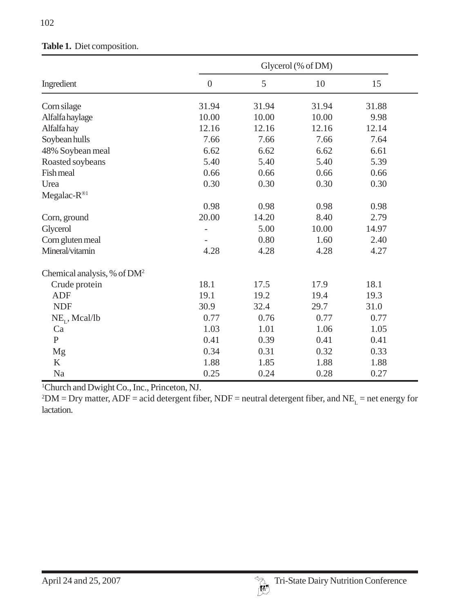|                                         |                | Glycerol (% of DM) |       |       |  |
|-----------------------------------------|----------------|--------------------|-------|-------|--|
| Ingredient                              | $\overline{0}$ | 5                  | 10    | 15    |  |
| Corn silage                             | 31.94          | 31.94              | 31.94 | 31.88 |  |
| Alfalfa haylage                         | 10.00          | 10.00              | 10.00 | 9.98  |  |
| Alfalfa hay                             | 12.16          | 12.16              | 12.16 | 12.14 |  |
| Soybean hulls                           | 7.66           | 7.66               | 7.66  | 7.64  |  |
| 48% Soybean meal                        | 6.62           | 6.62               | 6.62  | 6.61  |  |
| Roasted soybeans                        | 5.40           | 5.40               | 5.40  | 5.39  |  |
| Fish meal                               | 0.66           | 0.66               | 0.66  | 0.66  |  |
| Urea                                    | 0.30           | 0.30               | 0.30  | 0.30  |  |
| Megalac-R®1                             |                |                    |       |       |  |
|                                         | 0.98           | 0.98               | 0.98  | 0.98  |  |
| Corn, ground                            | 20.00          | 14.20              | 8.40  | 2.79  |  |
| Glycerol                                |                | 5.00               | 10.00 | 14.97 |  |
| Corn gluten meal                        |                | 0.80               | 1.60  | 2.40  |  |
| Mineral/vitamin                         | 4.28           | 4.28               | 4.28  | 4.27  |  |
| Chemical analysis, % of DM <sup>2</sup> |                |                    |       |       |  |
| Crude protein                           | 18.1           | 17.5               | 17.9  | 18.1  |  |
| <b>ADF</b>                              | 19.1           | 19.2               | 19.4  | 19.3  |  |
| <b>NDF</b>                              | 30.9           | 32.4               | 29.7  | 31.0  |  |
| $NE_{I}$ , Mcal/lb                      | 0.77           | 0.76               | 0.77  | 0.77  |  |
| Ca                                      | 1.03           | 1.01               | 1.06  | 1.05  |  |
| $\mathbf{P}$                            | 0.41           | 0.39               | 0.41  | 0.41  |  |
| Mg                                      | 0.34           | 0.31               | 0.32  | 0.33  |  |
| K                                       | 1.88           | 1.85               | 1.88  | 1.88  |  |
| Na                                      | 0.25           | 0.24               | 0.28  | 0.27  |  |

### **Table 1.** Diet composition.

1 Church and Dwight Co., Inc., Princeton, NJ.

 $^2$ DM = Dry matter, ADF = acid detergent fiber, NDF = neutral detergent fiber, and NE<sub>L</sub> = net energy for lactation.